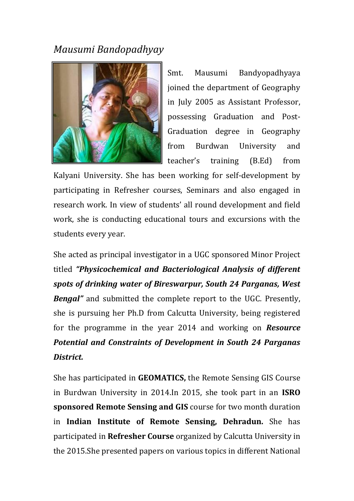## *Mausumi Bandopadhyay*



Smt. Mausumi Bandyopadhyaya joined the department of Geography in July 2005 as Assistant Professor, possessing Graduation and Post-Graduation degree in Geography from Burdwan University and teacher's training (B.Ed) from

Kalyani University. She has been working for self-development by participating in Refresher courses, Seminars and also engaged in research work. In view of students' all round development and field work, she is conducting educational tours and excursions with the students every year.

She acted as principal investigator in a UGC sponsored Minor Project titled *"Physicochemical and Bacteriological Analysis of different spots of drinking water of Bireswarpur, South 24 Parganas, West Bengal"* and submitted the complete report to the UGC. Presently, she is pursuing her Ph.D from Calcutta University, being registered for the programme in the year 2014 and working on *Resource Potential and Constraints of Development in South 24 Parganas District.*

She has participated in **GEOMATICS,** the Remote Sensing GIS Course in Burdwan University in 2014.In 2015, she took part in an **ISRO sponsored Remote Sensing and GIS** course for two month duration in **Indian Institute of Remote Sensing, Dehradun.** She has participated in **Refresher Course** organized by Calcutta University in the 2015.She presented papers on various topics in different National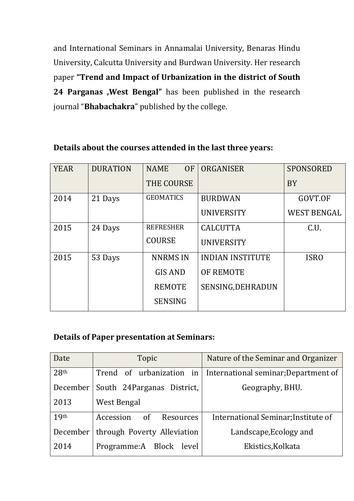and International Seminars in Annamalai University, Benaras Hindu University, Calcutta University and Burdwan University. Her research paper **"Trend and Impact of Urbanization in the district of South 24 Parganas ,West Bengal"** has been published in the research journal "**Bhabachakra**" published by the college.

## YEAR DURATION NAME OF THE COURSE ORGANISER SPONSORED BY 2014 | 21 Days | GEOMATICS | BURDWAN UNIVERSITY GOVT.OF WEST BENGAL 2015 24 Days REFRESHER COURSE **CALCUTTA** UNIVERSITY C.U.  $2015$  53 Days NNRMS IN GIS AND REMOTE **SENSING** INDIAN INSTITUTE OF REMOTE SENSING,DEHRADUN ISRO

## **Details about the courses attended in the last three years:**

## **Details of Paper presentation at Seminars:**

| Date             | Topic                         | Nature of the Seminar and Organizer  |
|------------------|-------------------------------|--------------------------------------|
| 28 <sup>th</sup> | Trend of urbanization<br>in l | International seminar; Department of |
| December         | South 24Parganas District,    | Geography, BHU.                      |
| 2013             | West Bengal                   |                                      |
| 19 <sup>th</sup> | Accession<br>of<br>Resources  | International Seminar; Institute of  |
| December         | through Poverty Alleviation   | Landscape, Ecology and               |
| 2014             | Programme:A Block level       | Ekistics, Kolkata                    |